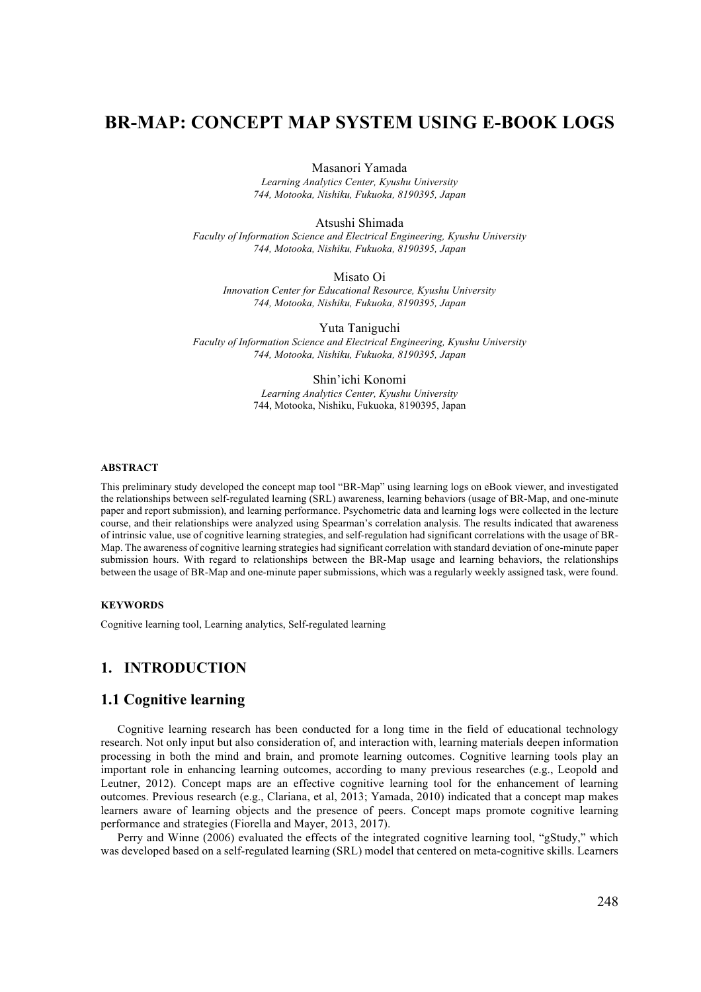# **BR-MAP: CONCEPT MAP SYSTEM USING E-BOOK LOGS**

Masanori Yamada

*Learning Analytics Center, Kyushu University 744, Motooka, Nishiku, Fukuoka, 8190395, Japan*

Atsushi Shimada

*Faculty of Information Science and Electrical Engineering, Kyushu University 744, Motooka, Nishiku, Fukuoka, 8190395, Japan* 

Misato Oi

*Innovation Center for Educational Resource, Kyushu University 744, Motooka, Nishiku, Fukuoka, 8190395, Japan*

Yuta Taniguchi *Faculty of Information Science and Electrical Engineering, Kyushu University 744, Motooka, Nishiku, Fukuoka, 8190395, Japan*

> Shin'ichi Konomi *Learning Analytics Center, Kyushu University* 744, Motooka, Nishiku, Fukuoka, 8190395, Japan

#### **ABSTRACT**

This preliminary study developed the concept map tool "BR-Map" using learning logs on eBook viewer, and investigated the relationships between self-regulated learning (SRL) awareness, learning behaviors (usage of BR-Map, and one-minute paper and report submission), and learning performance. Psychometric data and learning logs were collected in the lecture course, and their relationships were analyzed using Spearman's correlation analysis. The results indicated that awareness of intrinsic value, use of cognitive learning strategies, and self-regulation had significant correlations with the usage of BR-Map. The awareness of cognitive learning strategies had significant correlation with standard deviation of one-minute paper submission hours. With regard to relationships between the BR-Map usage and learning behaviors, the relationships between the usage of BR-Map and one-minute paper submissions, which was a regularly weekly assigned task, were found.

#### **KEYWORDS**

Cognitive learning tool, Learning analytics, Self-regulated learning

## **1. INTRODUCTION**

#### **1.1 Cognitive learning**

Cognitive learning research has been conducted for a long time in the field of educational technology research. Not only input but also consideration of, and interaction with, learning materials deepen information processing in both the mind and brain, and promote learning outcomes. Cognitive learning tools play an important role in enhancing learning outcomes, according to many previous researches (e.g., Leopold and Leutner, 2012). Concept maps are an effective cognitive learning tool for the enhancement of learning outcomes. Previous research (e.g., Clariana, et al, 2013; Yamada, 2010) indicated that a concept map makes learners aware of learning objects and the presence of peers. Concept maps promote cognitive learning performance and strategies (Fiorella and Mayer, 2013, 2017).

Perry and Winne (2006) evaluated the effects of the integrated cognitive learning tool, "gStudy," which was developed based on a self-regulated learning (SRL) model that centered on meta-cognitive skills. Learners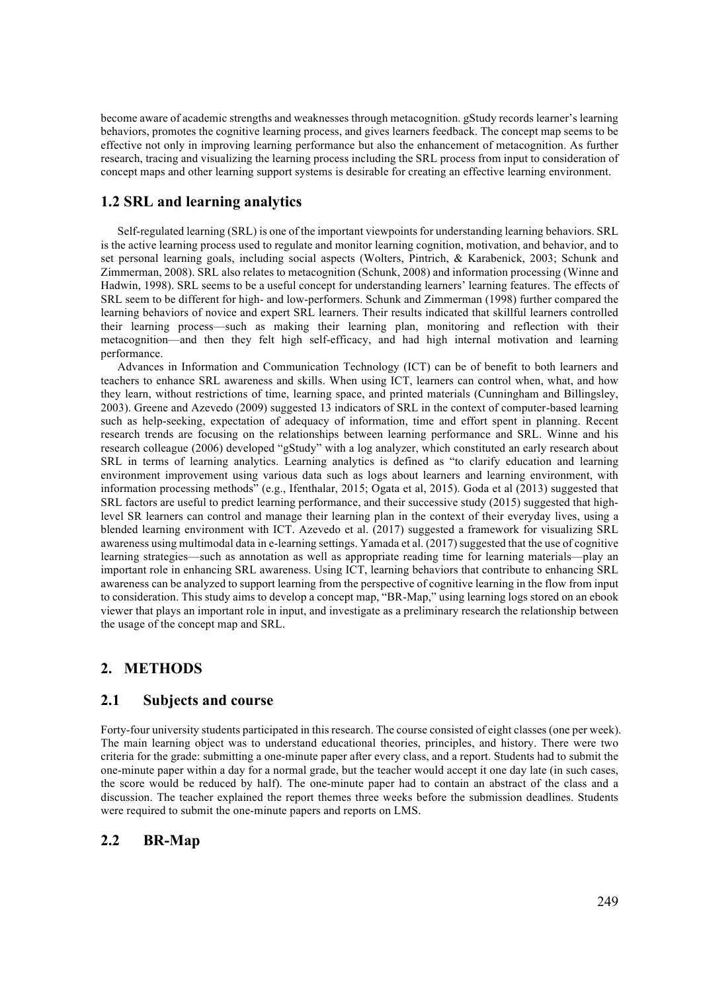become aware of academic strengths and weaknesses through metacognition. gStudy records learner's learning behaviors, promotes the cognitive learning process, and gives learners feedback. The concept map seems to be effective not only in improving learning performance but also the enhancement of metacognition. As further research, tracing and visualizing the learning process including the SRL process from input to consideration of concept maps and other learning support systems is desirable for creating an effective learning environment.

### **1.2 SRL and learning analytics**

Self-regulated learning (SRL) is one of the important viewpoints for understanding learning behaviors. SRL is the active learning process used to regulate and monitor learning cognition, motivation, and behavior, and to set personal learning goals, including social aspects (Wolters, Pintrich, & Karabenick, 2003; Schunk and Zimmerman, 2008). SRL also relates to metacognition (Schunk, 2008) and information processing (Winne and Hadwin, 1998). SRL seems to be a useful concept for understanding learners' learning features. The effects of SRL seem to be different for high- and low-performers. Schunk and Zimmerman (1998) further compared the learning behaviors of novice and expert SRL learners. Their results indicated that skillful learners controlled their learning process—such as making their learning plan, monitoring and reflection with their metacognition—and then they felt high self-efficacy, and had high internal motivation and learning performance.

Advances in Information and Communication Technology (ICT) can be of benefit to both learners and teachers to enhance SRL awareness and skills. When using ICT, learners can control when, what, and how they learn, without restrictions of time, learning space, and printed materials (Cunningham and Billingsley, 2003). Greene and Azevedo (2009) suggested 13 indicators of SRL in the context of computer-based learning such as help-seeking, expectation of adequacy of information, time and effort spent in planning. Recent research trends are focusing on the relationships between learning performance and SRL. Winne and his research colleague (2006) developed "gStudy" with a log analyzer, which constituted an early research about SRL in terms of learning analytics. Learning analytics is defined as "to clarify education and learning environment improvement using various data such as logs about learners and learning environment, with information processing methods" (e.g., Ifenthalar, 2015; Ogata et al, 2015). Goda et al (2013) suggested that SRL factors are useful to predict learning performance, and their successive study (2015) suggested that highlevel SR learners can control and manage their learning plan in the context of their everyday lives, using a blended learning environment with ICT. Azevedo et al. (2017) suggested a framework for visualizing SRL awareness using multimodal data in e-learning settings. Yamada et al. (2017) suggested that the use of cognitive learning strategies—such as annotation as well as appropriate reading time for learning materials—play an important role in enhancing SRL awareness. Using ICT, learning behaviors that contribute to enhancing SRL awareness can be analyzed to support learning from the perspective of cognitive learning in the flow from input to consideration. This study aims to develop a concept map, "BR-Map," using learning logs stored on an ebook viewer that plays an important role in input, and investigate as a preliminary research the relationship between the usage of the concept map and SRL.

## **2. METHODS**

## **2.1 Subjects and course**

Forty-four university students participated in this research. The course consisted of eight classes (one per week). The main learning object was to understand educational theories, principles, and history. There were two criteria for the grade: submitting a one-minute paper after every class, and a report. Students had to submit the one-minute paper within a day for a normal grade, but the teacher would accept it one day late (in such cases, the score would be reduced by half). The one-minute paper had to contain an abstract of the class and a discussion. The teacher explained the report themes three weeks before the submission deadlines. Students were required to submit the one-minute papers and reports on LMS.

## **2.2 BR-Map**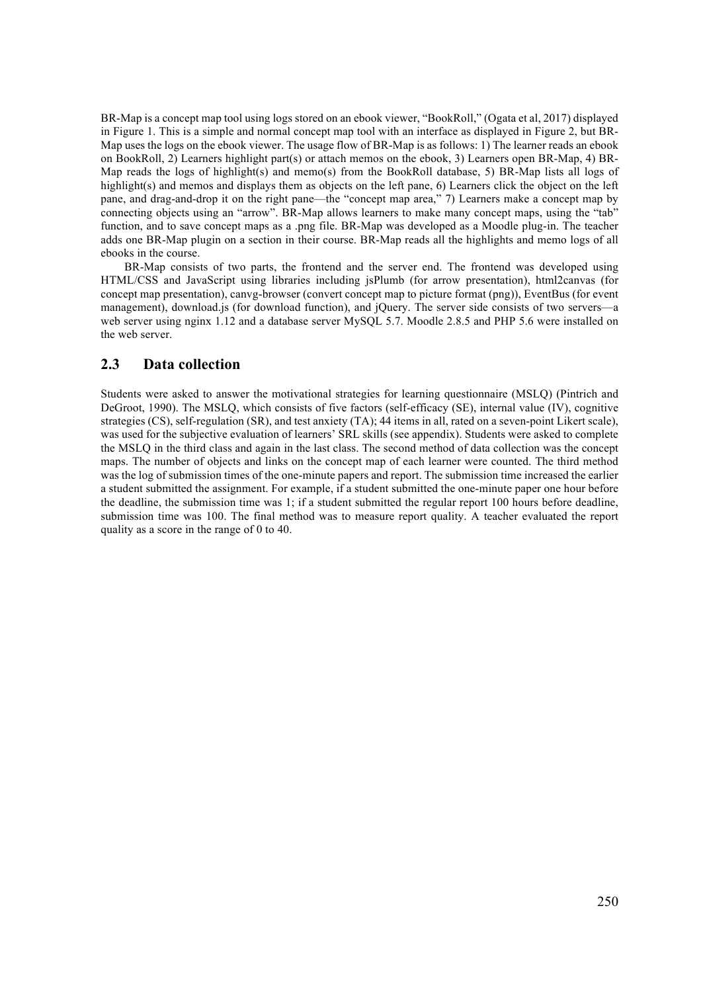BR-Map is a concept map tool using logs stored on an ebook viewer, "BookRoll," (Ogata et al, 2017) displayed in Figure 1. This is a simple and normal concept map tool with an interface as displayed in Figure 2, but BR-Map uses the logs on the ebook viewer. The usage flow of BR-Map is as follows: 1) The learner reads an ebook on BookRoll, 2) Learners highlight part(s) or attach memos on the ebook, 3) Learners open BR-Map, 4) BR-Map reads the logs of highlight(s) and memo(s) from the BookRoll database, 5) BR-Map lists all logs of highlight(s) and memos and displays them as objects on the left pane, 6) Learners click the object on the left pane, and drag-and-drop it on the right pane—the "concept map area," 7) Learners make a concept map by connecting objects using an "arrow". BR-Map allows learners to make many concept maps, using the "tab" function, and to save concept maps as a .png file. BR-Map was developed as a Moodle plug-in. The teacher adds one BR-Map plugin on a section in their course. BR-Map reads all the highlights and memo logs of all ebooks in the course.

 BR-Map consists of two parts, the frontend and the server end. The frontend was developed using HTML/CSS and JavaScript using libraries including jsPlumb (for arrow presentation), html2canvas (for concept map presentation), canvg-browser (convert concept map to picture format (png)), EventBus (for event management), download.js (for download function), and jQuery. The server side consists of two servers—a web server using nginx 1.12 and a database server MySQL 5.7. Moodle 2.8.5 and PHP 5.6 were installed on the web server.

### **2.3 Data collection**

Students were asked to answer the motivational strategies for learning questionnaire (MSLQ) (Pintrich and DeGroot, 1990). The MSLQ, which consists of five factors (self-efficacy (SE), internal value (IV), cognitive strategies (CS), self-regulation (SR), and test anxiety (TA); 44 items in all, rated on a seven-point Likert scale), was used for the subjective evaluation of learners' SRL skills (see appendix). Students were asked to complete the MSLQ in the third class and again in the last class. The second method of data collection was the concept maps. The number of objects and links on the concept map of each learner were counted. The third method was the log of submission times of the one-minute papers and report. The submission time increased the earlier a student submitted the assignment. For example, if a student submitted the one-minute paper one hour before the deadline, the submission time was 1; if a student submitted the regular report 100 hours before deadline, submission time was 100. The final method was to measure report quality. A teacher evaluated the report quality as a score in the range of 0 to 40.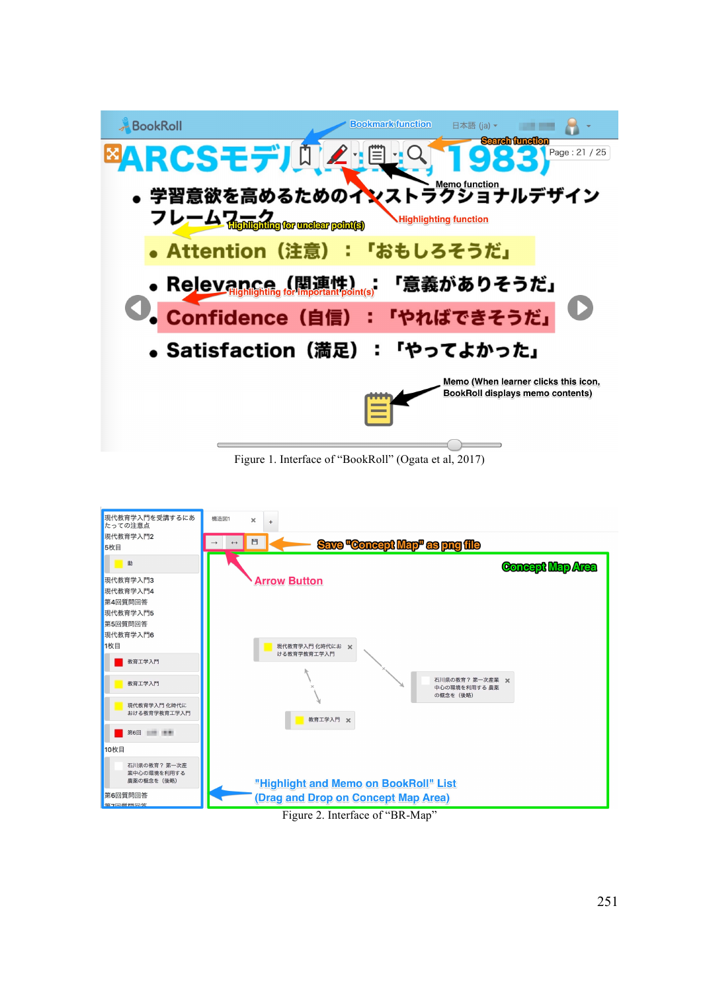

Figure 1. Interface of "BookRoll" (Ogata et al, 2017)



Figure 2. Interface of "BR-Map"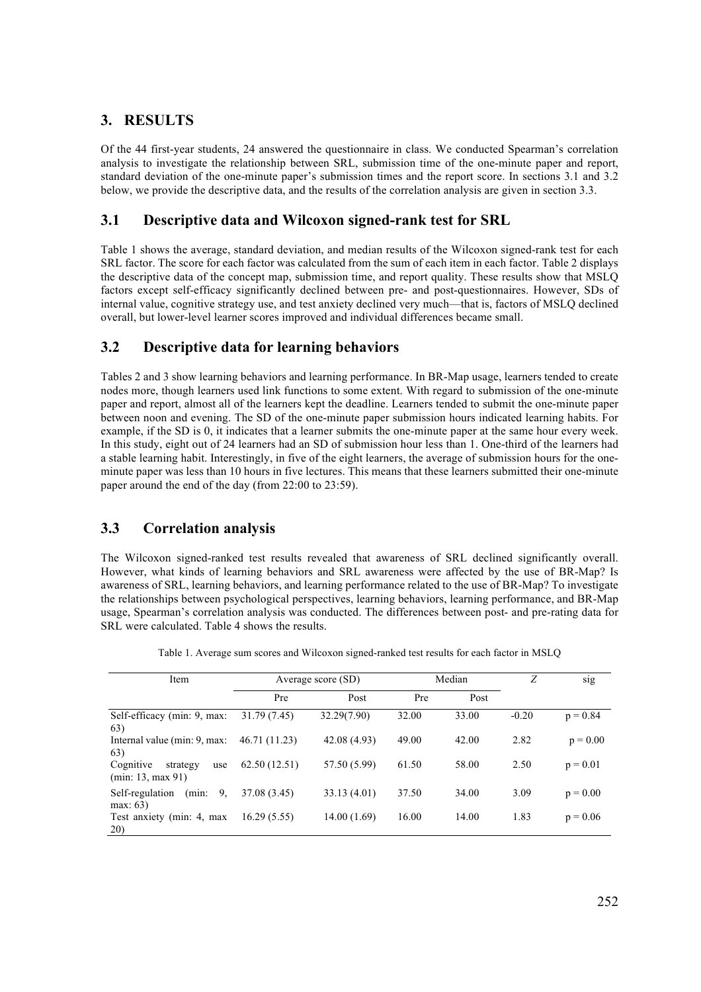# **3. RESULTS**

Of the 44 first-year students, 24 answered the questionnaire in class. We conducted Spearman's correlation analysis to investigate the relationship between SRL, submission time of the one-minute paper and report, standard deviation of the one-minute paper's submission times and the report score. In sections 3.1 and 3.2 below, we provide the descriptive data, and the results of the correlation analysis are given in section 3.3.

# **3.1 Descriptive data and Wilcoxon signed-rank test for SRL**

Table 1 shows the average, standard deviation, and median results of the Wilcoxon signed-rank test for each SRL factor. The score for each factor was calculated from the sum of each item in each factor. Table 2 displays the descriptive data of the concept map, submission time, and report quality. These results show that MSLQ factors except self-efficacy significantly declined between pre- and post-questionnaires. However, SDs of internal value, cognitive strategy use, and test anxiety declined very much—that is, factors of MSLQ declined overall, but lower-level learner scores improved and individual differences became small.

# **3.2 Descriptive data for learning behaviors**

Tables 2 and 3 show learning behaviors and learning performance. In BR-Map usage, learners tended to create nodes more, though learners used link functions to some extent. With regard to submission of the one-minute paper and report, almost all of the learners kept the deadline. Learners tended to submit the one-minute paper between noon and evening. The SD of the one-minute paper submission hours indicated learning habits. For example, if the SD is 0, it indicates that a learner submits the one-minute paper at the same hour every week. In this study, eight out of 24 learners had an SD of submission hour less than 1. One-third of the learners had a stable learning habit. Interestingly, in five of the eight learners, the average of submission hours for the oneminute paper was less than 10 hours in five lectures. This means that these learners submitted their one-minute paper around the end of the day (from 22:00 to 23:59).

# **3.3 Correlation analysis**

The Wilcoxon signed-ranked test results revealed that awareness of SRL declined significantly overall. However, what kinds of learning behaviors and SRL awareness were affected by the use of BR-Map? Is awareness of SRL, learning behaviors, and learning performance related to the use of BR-Map? To investigate the relationships between psychological perspectives, learning behaviors, learning performance, and BR-Map usage, Spearman's correlation analysis was conducted. The differences between post- and pre-rating data for SRL were calculated. Table 4 shows the results.

| Item                                              | Average score (SD) |              | Median |       | Z       | S <sub>1</sub> g |
|---------------------------------------------------|--------------------|--------------|--------|-------|---------|------------------|
|                                                   | Pre                | Post         | Pre    | Post  |         |                  |
| Self-efficacy (min: 9, max:<br>63)                | 31.79 (7.45)       | 32.29(7.90)  | 32.00  | 33.00 | $-0.20$ | $p = 0.84$       |
| Internal value (min: 9, max:<br>63)               | 46.71 (11.23)      | 42.08 (4.93) | 49.00  | 42.00 | 2.82    | $p = 0.00$       |
| Cognitive<br>strategy<br>use<br>(min: 13, max 91) | 62.50(12.51)       | 57.50 (5.99) | 61.50  | 58.00 | 2.50    | $p = 0.01$       |
| 9.<br>Self-regulation<br>(min:<br>max: 63         | 37.08 (3.45)       | 33.13 (4.01) | 37.50  | 34.00 | 3.09    | $p = 0.00$       |
| Test anxiety (min: 4, max<br>20)                  | 16.29(5.55)        | 14.00 (1.69) | 16.00  | 14.00 | 1.83    | $p = 0.06$       |

Table 1. Average sum scores and Wilcoxon signed-ranked test results for each factor in MSLQ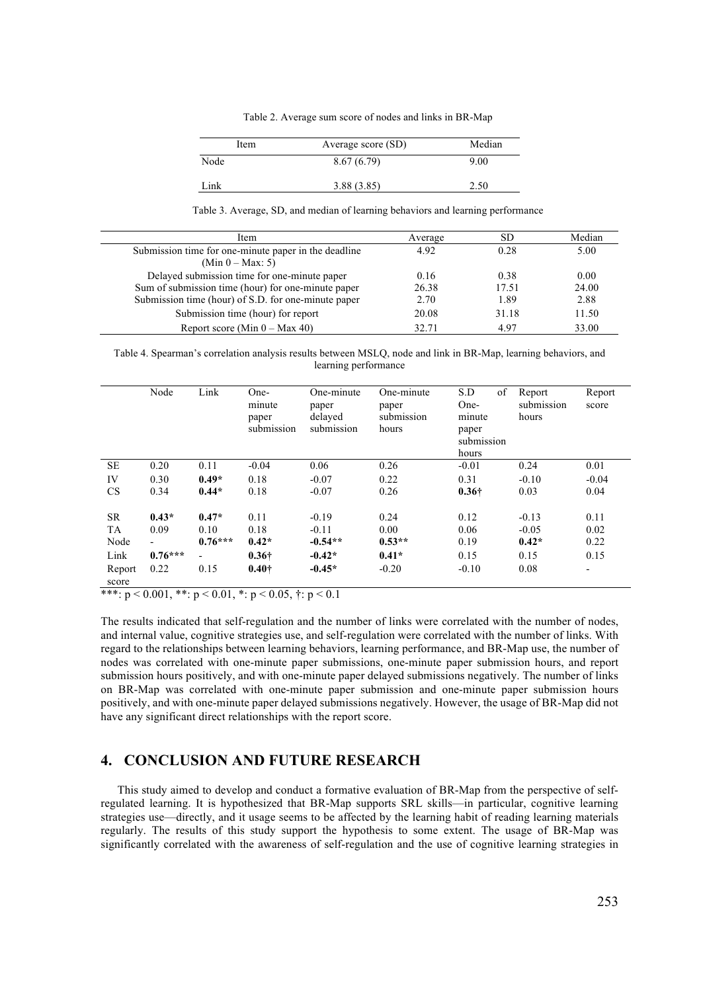Table 2. Average sum score of nodes and links in BR-Map

| Item | Average score (SD) | Median |
|------|--------------------|--------|
| Node | 8.67(6.79)         | 9.00   |
| Link | 3.88(3.85)         | 2.50   |

Table 3. Average, SD, and median of learning behaviors and learning performance

| Item                                                 | Average | SD    | Median |
|------------------------------------------------------|---------|-------|--------|
| Submission time for one-minute paper in the deadline | 4.92    | 0.28  | 5.00   |
| $(Min 0 - Max: 5)$                                   |         |       |        |
| Delayed submission time for one-minute paper         | 0.16    | 0.38  | 0.00   |
| Sum of submission time (hour) for one-minute paper   | 26.38   | 17.51 | 24.00  |
| Submission time (hour) of S.D. for one-minute paper  | 2.70    | 1.89  | 2.88   |
| Submission time (hour) for report                    | 20.08   | 31.18 | 11.50  |
| Report score (Min $0 - Max 40$ )                     | 32.71   | 4.97  | 33.00  |

Table 4. Spearman's correlation analysis results between MSLQ, node and link in BR-Map, learning behaviors, and learning performance

|                 | Node                     | Link           | One-<br>minute<br>paper<br>submission | One-minute<br>paper<br>delayed<br>submission | One-minute<br>paper<br>submission<br>hours | of<br>S.D<br>One-<br>minute<br>paper<br>submission<br>hours | Report<br>submission<br>hours | Report<br>score |
|-----------------|--------------------------|----------------|---------------------------------------|----------------------------------------------|--------------------------------------------|-------------------------------------------------------------|-------------------------------|-----------------|
| SE              | 0.20                     | 0.11           | $-0.04$                               | 0.06                                         | 0.26                                       | $-0.01$                                                     | 0.24                          | 0.01            |
| IV              | 0.30                     | $0.49*$        | 0.18                                  | $-0.07$                                      | 0.22                                       | 0.31                                                        | $-0.10$                       | $-0.04$         |
| <b>CS</b>       | 0.34                     | $0.44*$        | 0.18                                  | $-0.07$                                      | 0.26                                       | $0.36\dagger$                                               | 0.03                          | 0.04            |
| SR              | $0.43*$                  | $0.47*$        | 0.11                                  | $-0.19$                                      | 0.24                                       | 0.12                                                        | $-0.13$                       | 0.11            |
| TA              | 0.09                     | 0.10           | 0.18                                  | $-0.11$                                      | 0.00                                       | 0.06                                                        | $-0.05$                       | 0.02            |
| Node            | $\overline{\phantom{0}}$ | $0.76***$      | $0.42*$                               | $-0.54**$                                    | $0.53**$                                   | 0.19                                                        | $0.42*$                       | 0.22            |
| Link            | $0.76***$                | $\overline{a}$ | $0.36\dagger$                         | $-0.42*$                                     | $0.41*$                                    | 0.15                                                        | 0.15                          | 0.15            |
| Report<br>score | 0.22                     | 0.15           | $0.40\dagger$                         | $-0.45*$                                     | $-0.20$                                    | $-0.10$                                                     | 0.08                          | -               |

\*\*\*:  $p < 0.001$ , \*\*:  $p < 0.01$ , \*:  $p < 0.05$ , †:  $p < 0.1$ 

The results indicated that self-regulation and the number of links were correlated with the number of nodes, and internal value, cognitive strategies use, and self-regulation were correlated with the number of links. With regard to the relationships between learning behaviors, learning performance, and BR-Map use, the number of nodes was correlated with one-minute paper submissions, one-minute paper submission hours, and report submission hours positively, and with one-minute paper delayed submissions negatively. The number of links on BR-Map was correlated with one-minute paper submission and one-minute paper submission hours positively, and with one-minute paper delayed submissions negatively. However, the usage of BR-Map did not have any significant direct relationships with the report score.

#### **4. CONCLUSION AND FUTURE RESEARCH**

This study aimed to develop and conduct a formative evaluation of BR-Map from the perspective of selfregulated learning. It is hypothesized that BR-Map supports SRL skills—in particular, cognitive learning strategies use—directly, and it usage seems to be affected by the learning habit of reading learning materials regularly. The results of this study support the hypothesis to some extent. The usage of BR-Map was significantly correlated with the awareness of self-regulation and the use of cognitive learning strategies in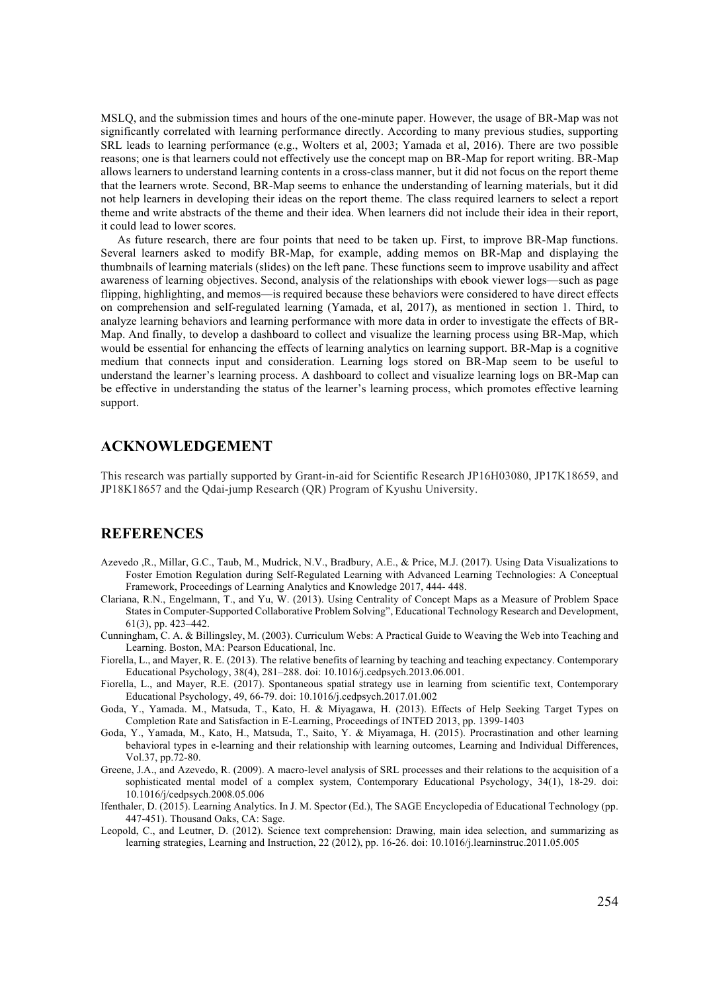MSLQ, and the submission times and hours of the one-minute paper. However, the usage of BR-Map was not significantly correlated with learning performance directly. According to many previous studies, supporting SRL leads to learning performance (e.g., Wolters et al, 2003; Yamada et al, 2016). There are two possible reasons; one is that learners could not effectively use the concept map on BR-Map for report writing. BR-Map allows learners to understand learning contents in a cross-class manner, but it did not focus on the report theme that the learners wrote. Second, BR-Map seems to enhance the understanding of learning materials, but it did not help learners in developing their ideas on the report theme. The class required learners to select a report theme and write abstracts of the theme and their idea. When learners did not include their idea in their report, it could lead to lower scores.

As future research, there are four points that need to be taken up. First, to improve BR-Map functions. Several learners asked to modify BR-Map, for example, adding memos on BR-Map and displaying the thumbnails of learning materials (slides) on the left pane. These functions seem to improve usability and affect awareness of learning objectives. Second, analysis of the relationships with ebook viewer logs—such as page flipping, highlighting, and memos—is required because these behaviors were considered to have direct effects on comprehension and self-regulated learning (Yamada, et al, 2017), as mentioned in section 1. Third, to analyze learning behaviors and learning performance with more data in order to investigate the effects of BR-Map. And finally, to develop a dashboard to collect and visualize the learning process using BR-Map, which would be essential for enhancing the effects of learning analytics on learning support. BR-Map is a cognitive medium that connects input and consideration. Learning logs stored on BR-Map seem to be useful to understand the learner's learning process. A dashboard to collect and visualize learning logs on BR-Map can be effective in understanding the status of the learner's learning process, which promotes effective learning support.

### **ACKNOWLEDGEMENT**

This research was partially supported by Grant-in-aid for Scientific Research JP16H03080, JP17K18659, and JP18K18657 and the Qdai-jump Research (QR) Program of Kyushu University.

## **REFERENCES**

- Azevedo ,R., Millar, G.C., Taub, M., Mudrick, N.V., Bradbury, A.E., & Price, M.J. (2017). Using Data Visualizations to Foster Emotion Regulation during Self-Regulated Learning with Advanced Learning Technologies: A Conceptual Framework, Proceedings of Learning Analytics and Knowledge 2017, 444- 448.
- Clariana, R.N., Engelmann, T., and Yu, W. (2013). Using Centrality of Concept Maps as a Measure of Problem Space States in Computer-Supported Collaborative Problem Solving", Educational Technology Research and Development, 61(3), pp. 423–442.
- Cunningham, C. A. & Billingsley, M. (2003). Curriculum Webs: A Practical Guide to Weaving the Web into Teaching and Learning. Boston, MA: Pearson Educational, Inc.
- Fiorella, L., and Mayer, R. E. (2013). The relative benefits of learning by teaching and teaching expectancy. Contemporary Educational Psychology, 38(4), 281–288. doi: 10.1016/j.cedpsych.2013.06.001.
- Fiorella, L., and Mayer, R.E. (2017). Spontaneous spatial strategy use in learning from scientific text, Contemporary Educational Psychology, 49, 66-79. doi: 10.1016/j.cedpsych.2017.01.002
- Goda, Y., Yamada. M., Matsuda, T., Kato, H. & Miyagawa, H. (2013). Effects of Help Seeking Target Types on Completion Rate and Satisfaction in E-Learning, Proceedings of INTED 2013, pp. 1399-1403
- Goda, Y., Yamada, M., Kato, H., Matsuda, T., Saito, Y. & Miyamaga, H. (2015). Procrastination and other learning behavioral types in e-learning and their relationship with learning outcomes, Learning and Individual Differences, Vol.37, pp.72-80.
- Greene, J.A., and Azevedo, R. (2009). A macro-level analysis of SRL processes and their relations to the acquisition of a sophisticated mental model of a complex system, Contemporary Educational Psychology, 34(1), 18-29. doi: 10.1016/j/cedpsych.2008.05.006
- Ifenthaler, D. (2015). Learning Analytics. In J. M. Spector (Ed.), The SAGE Encyclopedia of Educational Technology (pp. 447-451). Thousand Oaks, CA: Sage.
- Leopold, C., and Leutner, D. (2012). Science text comprehension: Drawing, main idea selection, and summarizing as learning strategies, Learning and Instruction, 22 (2012), pp. 16-26. doi: 10.1016/j.learninstruc.2011.05.005